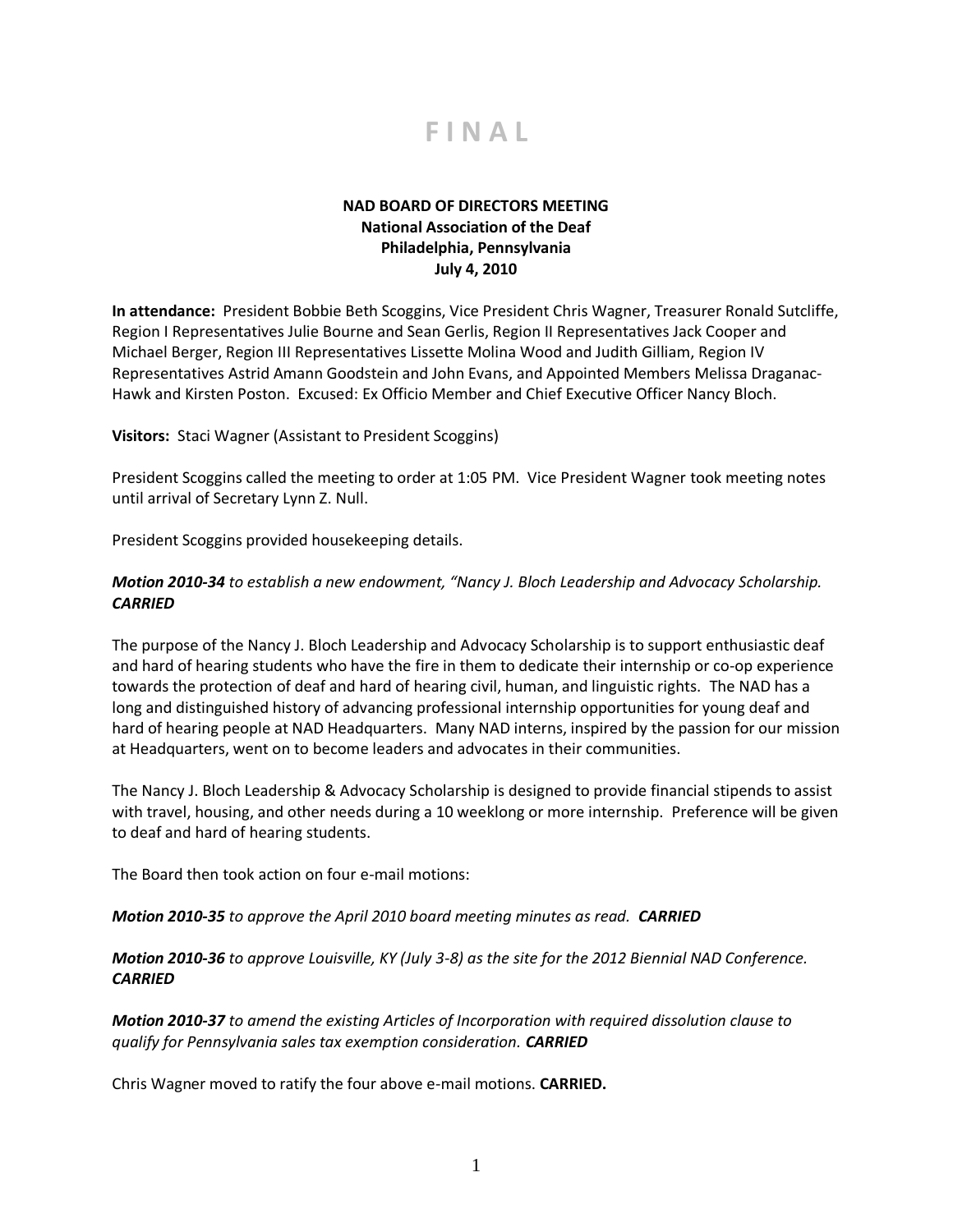

## **NAD BOARD OF DIRECTORS MEETING National Association of the Deaf Philadelphia, Pennsylvania July 4, 2010**

**In attendance:** President Bobbie Beth Scoggins, Vice President Chris Wagner, Treasurer Ronald Sutcliffe, Region I Representatives Julie Bourne and Sean Gerlis, Region II Representatives Jack Cooper and Michael Berger, Region III Representatives Lissette Molina Wood and Judith Gilliam, Region IV Representatives Astrid Amann Goodstein and John Evans, and Appointed Members Melissa Draganac-Hawk and Kirsten Poston. Excused: Ex Officio Member and Chief Executive Officer Nancy Bloch.

**Visitors:** Staci Wagner (Assistant to President Scoggins)

President Scoggins called the meeting to order at 1:05 PM. Vice President Wagner took meeting notes until arrival of Secretary Lynn Z. Null.

President Scoggins provided housekeeping details.

## *Motion 2010-34 to establish a new endowment, "Nancy J. Bloch Leadership and Advocacy Scholarship. CARRIED*

The purpose of the Nancy J. Bloch Leadership and Advocacy Scholarship is to support enthusiastic deaf and hard of hearing students who have the fire in them to dedicate their internship or co-op experience towards the protection of deaf and hard of hearing civil, human, and linguistic rights. The NAD has a long and distinguished history of advancing professional internship opportunities for young deaf and hard of hearing people at NAD Headquarters. Many NAD interns, inspired by the passion for our mission at Headquarters, went on to become leaders and advocates in their communities.

The Nancy J. Bloch Leadership & Advocacy Scholarship is designed to provide financial stipends to assist with travel, housing, and other needs during a 10 weeklong or more internship. Preference will be given to deaf and hard of hearing students.

The Board then took action on four e-mail motions:

*Motion 2010-35 to approve the April 2010 board meeting minutes as read. CARRIED*

*Motion 2010-36 to approve Louisville, KY (July 3-8) as the site for the 2012 Biennial NAD Conference. CARRIED*

*Motion 2010-37 to amend the existing Articles of Incorporation with required dissolution clause to qualify for Pennsylvania sales tax exemption consideration. CARRIED*

Chris Wagner moved to ratify the four above e-mail motions. **CARRIED.**